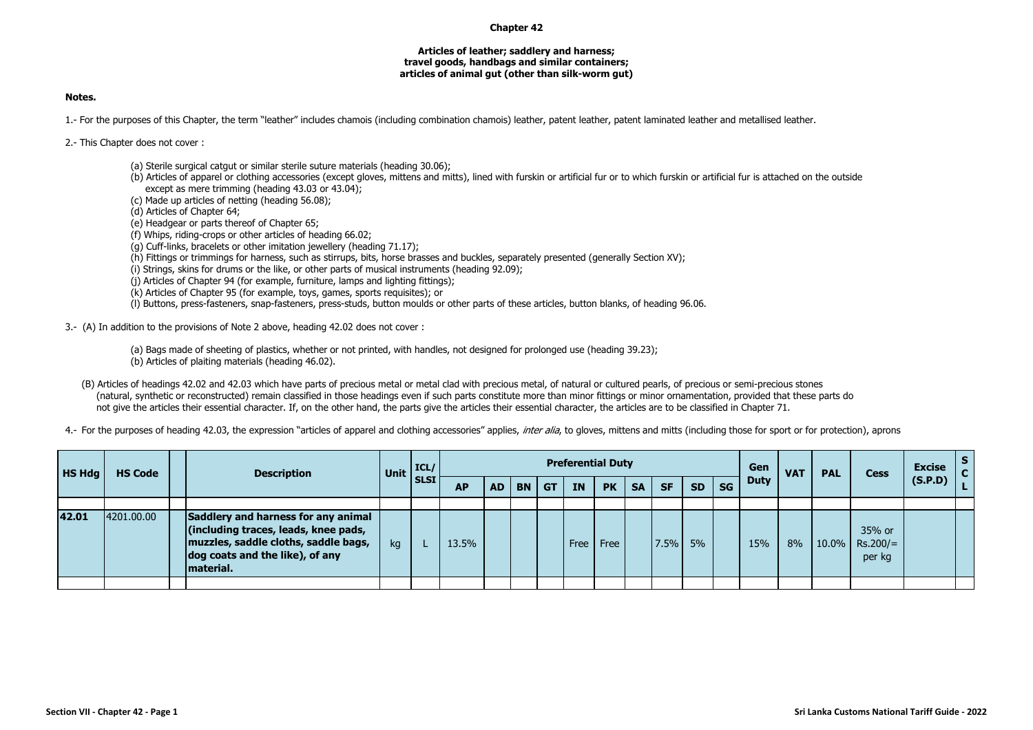## **Chapter 42**

## **Articles of leather; saddlery and harness; travel goods, handbags and similar containers; articles of animal gut (other than silk-worm gut)**

## **Notes.**

1.- For the purposes of this Chapter, the term "leather" includes chamois (including combination chamois) leather, patent leather, patent laminated leather and metallised leather.

2.- This Chapter does not cover :

- (a) Sterile surgical catgut or similar sterile suture materials (heading 30.06);
- (b) Articles of apparel or clothing accessories (except gloves, mittens and mitts), lined with furskin or artificial fur or to which furskin or artificial fur is attached on the outside except as mere trimming (heading 43.03 or 43.04);
- (c) Made up articles of netting (heading 56.08);

(d) Articles of Chapter 64;

(e) Headgear or parts thereof of Chapter 65;

(f) Whips, riding-crops or other articles of heading 66.02;

(g) Cuff-links, bracelets or other imitation jewellery (heading 71.17);

(h) Fittings or trimmings for harness, such as stirrups, bits, horse brasses and buckles, separately presented (generally Section XV);

(i) Strings, skins for drums or the like, or other parts of musical instruments (heading 92.09);

(j) Articles of Chapter 94 (for example, furniture, lamps and lighting fittings);

(k) Articles of Chapter 95 (for example, toys, games, sports requisites); or

(l) Buttons, press-fasteners, snap-fasteners, press-studs, button moulds or other parts of these articles, button blanks, of heading 96.06.

3.- (A) In addition to the provisions of Note 2 above, heading 42.02 does not cover :

(a) Bags made of sheeting of plastics, whether or not printed, with handles, not designed for prolonged use (heading 39.23);<br>(b) Articles of plaiting materials (heading 46.02).

(B) Articles of headings 42.02 and 42.03 which have parts of precious metal or metal clad with precious metal, of natural or cultured pearls, of precious or semi-precious stones (natural, synthetic or reconstructed) remain classified in those headings even if such parts constitute more than minor fittings or minor ornamentation, provided that these parts do not give the articles their essential character. If, on the other hand, the parts give the articles their essential character, the articles are to be classified in Chapter 71.

4.- For the purposes of heading 42.03, the expression "articles of apparel and clothing accessories" applies, *inter alia*, to gloves, mittens and mitts (including those for sport or for protection), aprons

| HS Hdg | <b>HS Code</b> | <b>Description</b>                                                                                                                                                  | Unit | ICL/        | <b>Preferential Duty</b> |    |           |           |      |           |           |           |           | Gen       | <b>VAT</b> | <b>PAL</b>  | <b>Cess</b> | <b>Excise</b>                  |         |  |
|--------|----------------|---------------------------------------------------------------------------------------------------------------------------------------------------------------------|------|-------------|--------------------------|----|-----------|-----------|------|-----------|-----------|-----------|-----------|-----------|------------|-------------|-------------|--------------------------------|---------|--|
|        |                |                                                                                                                                                                     |      | <b>SLSI</b> | <b>AP</b>                | AD | <b>BN</b> | <b>GT</b> | IN   | <b>PK</b> | <b>SA</b> | <b>SF</b> | <b>SD</b> | <b>SG</b> |            | <b>Duty</b> |             |                                | (S.P.D) |  |
|        |                |                                                                                                                                                                     |      |             |                          |    |           |           |      |           |           |           |           |           |            |             |             |                                |         |  |
| 42.01  | 4201.00.00     | Saddlery and harness for any animal<br>(including traces, leads, knee pads,<br>muzzles, saddle cloths, saddle bags,<br>dog coats and the like), of any<br>material. | kg   |             | 13.5%                    |    |           |           | Free | Free      |           | 7.5%      | 5%        |           | 15%        | 8%          | 10.0%       | 35% or<br>$Rs.200/=$<br>per kg |         |  |
|        |                |                                                                                                                                                                     |      |             |                          |    |           |           |      |           |           |           |           |           |            |             |             |                                |         |  |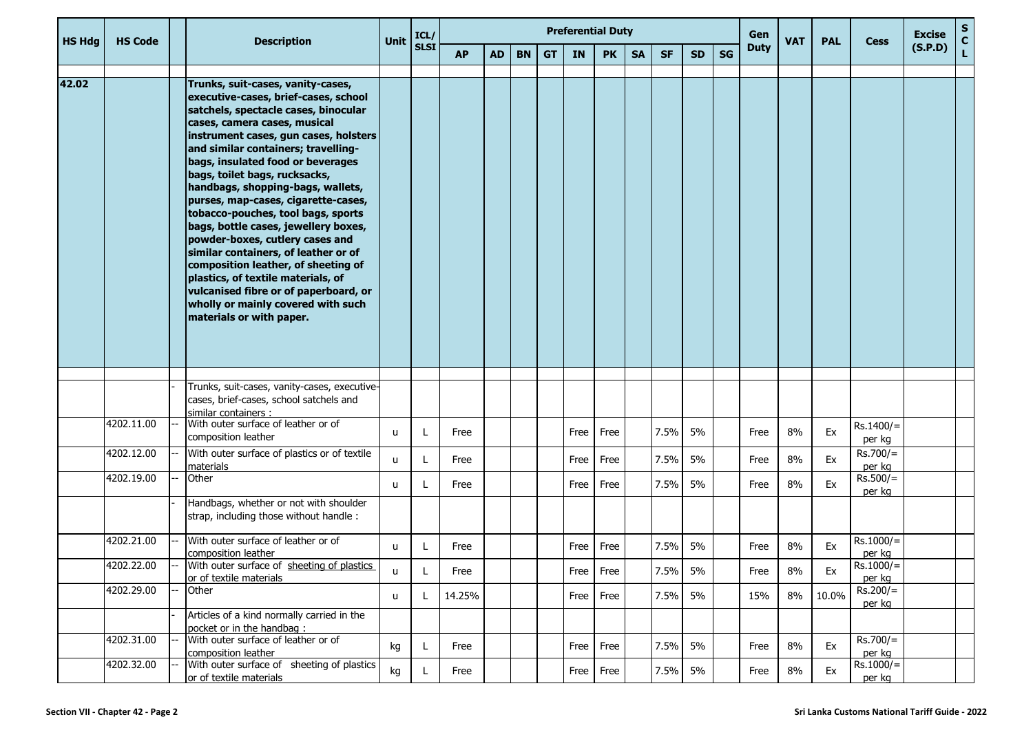| <b>HS Hdg</b> | <b>HS Code</b> |  | <b>Description</b>                                                                                                                                                                                                                                                                                                                                                                                                                                                                                                                                                                                                                                                                                                                   | Unit         | ICL/        |           |           |           |           | <b>Preferential Duty</b> |             |           |           |           |    | Gen         | <b>VAT</b> | <b>PAL</b> | <b>Cess</b>           | <b>Excise</b> | $\mathbf S$<br>$\mathbf{C}$ |
|---------------|----------------|--|--------------------------------------------------------------------------------------------------------------------------------------------------------------------------------------------------------------------------------------------------------------------------------------------------------------------------------------------------------------------------------------------------------------------------------------------------------------------------------------------------------------------------------------------------------------------------------------------------------------------------------------------------------------------------------------------------------------------------------------|--------------|-------------|-----------|-----------|-----------|-----------|--------------------------|-------------|-----------|-----------|-----------|----|-------------|------------|------------|-----------------------|---------------|-----------------------------|
|               |                |  |                                                                                                                                                                                                                                                                                                                                                                                                                                                                                                                                                                                                                                                                                                                                      |              | <b>SLSI</b> | <b>AP</b> | <b>AD</b> | <b>BN</b> | <b>GT</b> | <b>IN</b>                | <b>PK</b>   | <b>SA</b> | <b>SF</b> | <b>SD</b> | SG | <b>Duty</b> |            |            |                       | (S.P.D)       | $\mathbf{L}$                |
| 42.02         |                |  | Trunks, suit-cases, vanity-cases,<br>executive-cases, brief-cases, school<br>satchels, spectacle cases, binocular<br>cases, camera cases, musical<br>instrument cases, gun cases, holsters<br>and similar containers; travelling-<br>bags, insulated food or beverages<br>bags, toilet bags, rucksacks,<br>handbags, shopping-bags, wallets,<br>purses, map-cases, cigarette-cases,<br>tobacco-pouches, tool bags, sports<br>bags, bottle cases, jewellery boxes,<br>powder-boxes, cutlery cases and<br>similar containers, of leather or of<br>composition leather, of sheeting of<br>plastics, of textile materials, of<br>vulcanised fibre or of paperboard, or<br>wholly or mainly covered with such<br>materials or with paper. |              |             |           |           |           |           |                          |             |           |           |           |    |             |            |            |                       |               |                             |
|               |                |  | Trunks, suit-cases, vanity-cases, executive-                                                                                                                                                                                                                                                                                                                                                                                                                                                                                                                                                                                                                                                                                         |              |             |           |           |           |           |                          |             |           |           |           |    |             |            |            |                       |               |                             |
|               |                |  | cases, brief-cases, school satchels and<br>similar containers:                                                                                                                                                                                                                                                                                                                                                                                                                                                                                                                                                                                                                                                                       |              |             |           |           |           |           |                          |             |           |           |           |    |             |            |            |                       |               |                             |
|               | 4202.11.00     |  | With outer surface of leather or of<br>composition leather                                                                                                                                                                                                                                                                                                                                                                                                                                                                                                                                                                                                                                                                           | u            |             | Free      |           |           |           | Free                     | Free        |           | 7.5%      | 5%        |    | Free        | 8%         | Ex         | $Rs.1400/=$<br>per kg |               |                             |
|               | 4202.12.00     |  | With outer surface of plastics or of textile<br>materials                                                                                                                                                                                                                                                                                                                                                                                                                                                                                                                                                                                                                                                                            | $\mathsf{u}$ |             | Free      |           |           |           | Free                     | Free        |           | 7.5%      | 5%        |    | Free        | 8%         | Ex         | $Rs.700/=$<br>per kg  |               |                             |
|               | 4202.19.00     |  | Other                                                                                                                                                                                                                                                                                                                                                                                                                                                                                                                                                                                                                                                                                                                                | $\mathsf{u}$ |             | Free      |           |           |           | Free                     | Free        |           | 7.5%      | 5%        |    | Free        | 8%         | Ex         | $Rs.500/=$<br>per kg  |               |                             |
|               |                |  | Handbags, whether or not with shoulder<br>strap, including those without handle:                                                                                                                                                                                                                                                                                                                                                                                                                                                                                                                                                                                                                                                     |              |             |           |           |           |           |                          |             |           |           |           |    |             |            |            |                       |               |                             |
|               | 4202.21.00     |  | With outer surface of leather or of<br>composition leather                                                                                                                                                                                                                                                                                                                                                                                                                                                                                                                                                                                                                                                                           | u            |             | Free      |           |           |           | Free                     | Free        |           | 7.5%      | 5%        |    | Free        | 8%         | Ex         | $Rs.1000/=$<br>per kg |               |                             |
|               | 4202.22.00     |  | With outer surface of sheeting of plastics<br>or of textile materials                                                                                                                                                                                                                                                                                                                                                                                                                                                                                                                                                                                                                                                                | u            | L           | Free      |           |           |           |                          | Free   Free |           | 7.5% 5%   |           |    | Free        | 8%         | Ex         | $Rs.1000 =$<br>per kg |               |                             |
|               | 4202.29.00     |  | Other                                                                                                                                                                                                                                                                                                                                                                                                                                                                                                                                                                                                                                                                                                                                | u            | L.          | 14.25%    |           |           |           | Free Free                |             |           | 7.5%      | 5%        |    | 15%         | 8%         | 10.0%      | $Rs.200/=$<br>per kg  |               |                             |
|               |                |  | Articles of a kind normally carried in the<br>pocket or in the handbag:                                                                                                                                                                                                                                                                                                                                                                                                                                                                                                                                                                                                                                                              |              |             |           |           |           |           |                          |             |           |           |           |    |             |            |            |                       |               |                             |
|               | 4202.31.00     |  | With outer surface of leather or of<br>composition leather                                                                                                                                                                                                                                                                                                                                                                                                                                                                                                                                                                                                                                                                           | kg           | L.          | Free      |           |           |           | Free                     | Free        |           | 7.5%      | 5%        |    | Free        | 8%         | Ex         | $Rs.700/=$<br>per kg  |               |                             |
|               | 4202.32.00     |  | With outer surface of sheeting of plastics<br>or of textile materials                                                                                                                                                                                                                                                                                                                                                                                                                                                                                                                                                                                                                                                                | kg           |             | Free      |           |           |           | Free Free                |             |           | 7.5%      | 5%        |    | Free        | 8%         | Ex         | $Rs.1000/=$<br>per kg |               |                             |